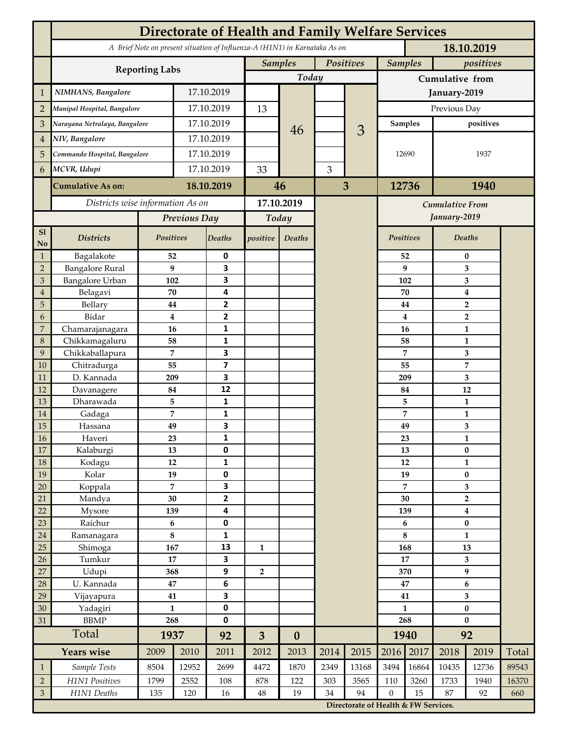|                 | <b>Directorate of Health and Family Welfare Services</b>                                 |                |            |                         |                |                  |           |                                      |                 |          |                                    |                  |       |  |
|-----------------|------------------------------------------------------------------------------------------|----------------|------------|-------------------------|----------------|------------------|-----------|--------------------------------------|-----------------|----------|------------------------------------|------------------|-------|--|
|                 | A Brief Note on present situation of Influenza-A (H1N1) in Karnataka As on<br>18.10.2019 |                |            |                         |                |                  |           |                                      |                 |          |                                    |                  |       |  |
|                 | <b>Reporting Labs</b>                                                                    |                |            |                         | <b>Samples</b> |                  | Positives |                                      | <b>Samples</b>  |          | positives                          |                  |       |  |
|                 |                                                                                          |                |            |                         | Today          |                  |           |                                      | Cumulative from |          |                                    |                  |       |  |
| $\mathbf{1}$    | NIMHANS, Bangalore                                                                       | 17.10.2019     |            |                         |                |                  |           |                                      | January-2019    |          |                                    |                  |       |  |
| $\overline{2}$  | Manipal Hospital, Bangalore                                                              |                |            | 17.10.2019              |                |                  |           |                                      | Previous Day    |          |                                    |                  |       |  |
| 3               | Narayana Netralaya, Bangalore                                                            |                |            | 17.10.2019              |                |                  |           |                                      | Samples         |          | positives                          |                  |       |  |
| $\overline{4}$  | NIV, Bangalore                                                                           |                | 17.10.2019 |                         |                | 46               |           | 3                                    | 12690           |          | 1937                               |                  |       |  |
| 5               | Commando Hospital, Bangalore                                                             |                | 17.10.2019 |                         |                |                  |           |                                      |                 |          |                                    |                  |       |  |
| 6               | MCVR, Udupi                                                                              |                | 17.10.2019 |                         | 33             |                  | 3         |                                      |                 |          |                                    |                  |       |  |
|                 | <b>Cumulative As on:</b>                                                                 |                |            | 18.10.2019              |                | 46               | 3         |                                      | 12736           |          | 1940                               |                  |       |  |
|                 | Districts wise information As on                                                         |                |            | 17.10.2019              |                |                  |           | <b>Cumulative From</b>               |                 |          |                                    |                  |       |  |
|                 |                                                                                          | Previous Day   |            | Today                   |                |                  |           |                                      |                 |          | January-2019                       |                  |       |  |
| S1              |                                                                                          |                |            |                         |                |                  |           |                                      |                 |          |                                    |                  |       |  |
| No              | <b>Districts</b>                                                                         | Positives      |            | Deaths                  | positive       | Deaths           |           |                                      | Positives       |          |                                    | Deaths           |       |  |
| $\mathbf{1}$    | Bagalakote                                                                               | 52             |            | 0                       |                |                  |           | 52                                   |                 | $\bf{0}$ |                                    |                  |       |  |
| $\overline{2}$  | <b>Bangalore Rural</b>                                                                   | 9              |            | 3                       |                |                  |           |                                      |                 | 9        | 3                                  |                  |       |  |
| 3               | Bangalore Urban                                                                          | 102            |            | 3                       |                |                  |           |                                      | 102             |          | 3                                  |                  |       |  |
| $\overline{4}$  | Belagavi                                                                                 | 70             |            | 4<br>2                  |                |                  |           |                                      |                 | 70       | $\boldsymbol{4}$<br>$\overline{2}$ |                  |       |  |
| 5<br>6          | Bellary<br>Bidar                                                                         | 44<br>$\bf{4}$ |            | $\mathbf{2}$            |                |                  |           |                                      |                 | 44<br>4  |                                    | $\overline{2}$   |       |  |
| 7               | Chamarajanagara                                                                          | 16             |            | 1                       |                |                  |           |                                      |                 | 16       | 1                                  |                  |       |  |
| 8               | Chikkamagaluru                                                                           | 58             |            | 1                       |                |                  |           |                                      |                 | 58       |                                    | 1                |       |  |
| 9               | Chikkaballapura                                                                          | 7              |            | 3                       |                |                  |           |                                      |                 | 7        |                                    | 3                |       |  |
| 10              | Chitradurga                                                                              | 55             |            | $\overline{\mathbf{z}}$ |                |                  |           |                                      |                 | 55       |                                    | 7                |       |  |
| 11              | D. Kannada                                                                               | 209            |            | 3                       |                |                  |           |                                      |                 | 209      |                                    | 3                |       |  |
| 12              | Davanagere                                                                               | 84             |            | 12                      |                |                  |           |                                      |                 | 84       |                                    | 12               |       |  |
| 13              | Dharawada                                                                                | 5              |            | $\mathbf{1}$            |                |                  |           |                                      |                 | 5        |                                    | $\mathbf{1}$     |       |  |
| 14              | Gadaga                                                                                   | 7              |            | 1                       |                |                  |           |                                      |                 | 7        |                                    | 1                |       |  |
| 15              | Hassana                                                                                  | 49             |            | 3                       |                |                  |           |                                      | 49<br>23        |          | 3                                  |                  |       |  |
| <b>16</b><br>17 | Haveri<br>Kalaburgi                                                                      | 23<br>13       |            | 1<br>0                  |                |                  |           |                                      |                 | 13       |                                    | 1<br>$\pmb{0}$   |       |  |
| 18              | Kodagu                                                                                   | 12             |            | $\mathbf{1}$            |                |                  |           |                                      |                 | 12       |                                    | $\mathbf{1}$     |       |  |
| 19              | Kolar                                                                                    |                | 19         |                         |                |                  |           |                                      |                 | 19       |                                    | $\pmb{0}$        |       |  |
| 20              | Koppala                                                                                  | $\overline{7}$ |            | 0<br>3                  |                |                  |           |                                      |                 | 7        |                                    | 3                |       |  |
| 21              | Mandya                                                                                   | $30\,$         |            | $\mathbf{2}$            |                |                  |           |                                      | 30              |          | $\mathbf 2$                        |                  |       |  |
| 22              | Mysore                                                                                   | 139            |            | 4                       |                |                  |           |                                      | 139             |          |                                    | $\boldsymbol{4}$ |       |  |
| 23              | Raichur                                                                                  | $\bf 6$        |            | $\pmb{0}$               |                |                  |           |                                      |                 | 6        | $\pmb{0}$                          |                  |       |  |
| $24\,$          | Ramanagara                                                                               | 8              |            | 1                       |                |                  |           |                                      |                 | 8        | $\mathbf{1}$                       |                  |       |  |
| 25              | Shimoga                                                                                  | 167            |            | 13                      | $\mathbf{1}$   |                  |           |                                      | 168             |          | 13                                 |                  |       |  |
| 26              | Tumkur                                                                                   | 17<br>368      |            | 3                       |                |                  |           |                                      | 17              |          | 3<br>9                             |                  |       |  |
| 27<br>28        | Udupi<br>U. Kannada                                                                      | $\bf 47$       |            | 9<br>$\bf 6$            | 2              |                  |           |                                      | 370<br>47       |          | $\bf 6$                            |                  |       |  |
| 29              | Vijayapura                                                                               | 41             |            | 3                       |                |                  |           |                                      | 41              |          | $\overline{\mathbf{3}}$            |                  |       |  |
| 30              | Yadagiri                                                                                 | $\mathbf{1}$   |            | 0                       |                |                  |           |                                      | $\mathbf{1}$    |          | $\pmb{0}$                          |                  |       |  |
| 31              | <b>BBMP</b>                                                                              | 268            |            | 0                       |                |                  |           |                                      | 268             |          | $\bf{0}$                           |                  |       |  |
|                 | Total                                                                                    | 1937           |            | 92                      | $\overline{3}$ | $\boldsymbol{0}$ |           |                                      | 1940            |          | 92                                 |                  |       |  |
|                 | <b>Years wise</b>                                                                        | 2009           | 2010       | 2011                    | 2012           | 2013             | 2014      | 2015                                 | 2016            | 2017     | 2018                               | 2019             | Total |  |
| $\mathbf{1}$    | Sample Tests                                                                             | 8504           | 12952      | 2699                    | 4472           | 1870             | 2349      | 13168                                | 3494            | 16864    | 10435                              | 12736            | 89543 |  |
| $\overline{2}$  | H1N1 Positives                                                                           | 1799           | 2552       | 108                     | 878            | 122              | 303       | 3565                                 | 110             | 3260     | 1733                               | 1940             | 16370 |  |
| $\mathfrak{Z}$  | H1N1 Deaths                                                                              | 135            | 120        | 16                      | $48\,$         | 19               | 34        | 94                                   | $\mathbf{0}$    | 15       | 87                                 | 92               | 660   |  |
|                 |                                                                                          |                |            |                         |                |                  |           | Directorate of Health & FW Services. |                 |          |                                    |                  |       |  |